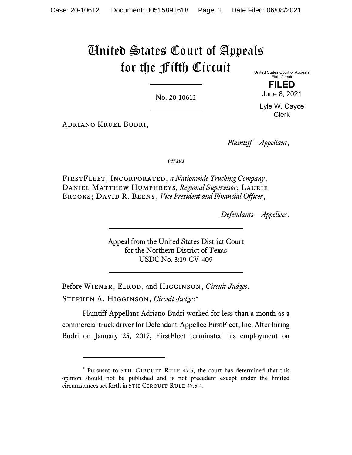# United States Court of Appeals for the Fifth Circuit

No. 20-10612

United States Court of Appeals Fifth Circuit **FILED** 

June 8, 2021 Lyle W. Cayce

Clerk

Adriano Kruel Budri,

*Plaintiff—Appellant*,

*versus*

FirstFleet, Incorporated, *a Nationwide Trucking Company*; Daniel Matthew Humphreys*, Regional Supervisor*; Laurie BROOKS; DAVID R. BEENY, *Vice President and Financial Officer*,

*Defendants—Appellees*.

Appeal from the United States District Court for the Northern District of Texas USDC No. 3:19-CV-409

Before Wiener, Elrod, and Higginson, *Circuit Judges*. Stephen A. Higginson, *Circuit Judge*:\*

Plaintiff-Appellant Adriano Budri worked for less than a month as a commercial truck driver for Defendant-Appellee FirstFleet, Inc. After hiring Budri on January 25, 2017, FirstFleet terminated his employment on

<sup>\*</sup> Pursuant to 5TH CIRCUIT RULE 47.5, the court has determined that this opinion should not be published and is not precedent except under the limited circumstances set forth in 5TH CIRCUIT RULE 47.5.4.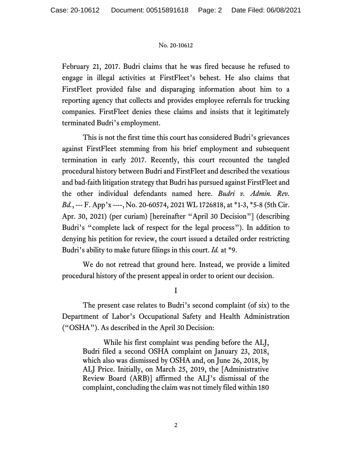February 21, 2017. Budri claims that he was fired because he refused to engage in illegal activities at FirstFleet's behest. He also claims that FirstFleet provided false and disparaging information about him to a reporting agency that collects and provides employee referrals for trucking companies. FirstFleet denies these claims and insists that it legitimately terminated Budri's employment.

This is not the first time this court has considered Budri's grievances against FirstFleet stemming from his brief employment and subsequent termination in early 2017. Recently, this court recounted the tangled procedural history between Budri and FirstFleet and described the vexatious and bad-faith litigation strategy that Budri has pursued against FirstFleet and the other individual defendants named here. *Budri v. Admin. Rev. Bd.*, --- F. App'x ----, No. 20-60574, 2021 WL 1726818, at \*1-3, \*5-8 (5th Cir. Apr. 30, 2021) (per curiam) [hereinafter "April 30 Decision"] (describing Budri's "complete lack of respect for the legal process"). In addition to denying his petition for review, the court issued a detailed order restricting Budri's ability to make future filings in this court. *Id.* at \*9.

We do not retread that ground here. Instead, we provide a limited procedural history of the present appeal in order to orient our decision.

I

The present case relates to Budri's second complaint (of six) to the Department of Labor's Occupational Safety and Health Administration ("OSHA"). As described in the April 30 Decision:

While his first complaint was pending before the ALJ, Budri filed a second OSHA complaint on January 23, 2018, which also was dismissed by OSHA and, on June 26, 2018, by ALJ Price. Initially, on March 25, 2019, the [Administrative Review Board (ARB)] affirmed the ALJ's dismissal of the complaint, concluding the claim was not timely filed within 180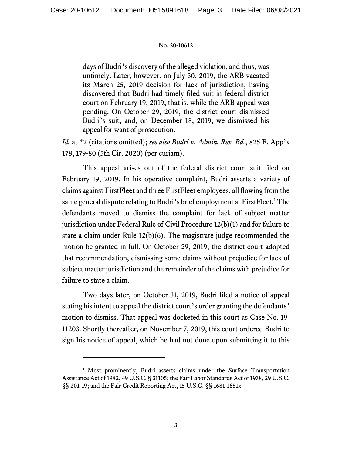days of Budri's discovery of the alleged violation, and thus, was untimely. Later, however, on July 30, 2019, the ARB vacated its March 25, 2019 decision for lack of jurisdiction, having discovered that Budri had timely filed suit in federal district court on February 19, 2019, that is, while the ARB appeal was pending. On October 29, 2019, the district court dismissed Budri's suit, and, on December 18, 2019, we dismissed his appeal for want of prosecution.

*Id.* at \*2 (citations omitted); *see also Budri v. Admin. Rev. Bd.*, 825 F. App'x 178, 179-80 (5th Cir. 2020) (per curiam).

 This appeal arises out of the federal district court suit filed on February 19, 2019. In his operative complaint, Budri asserts a variety of claims against FirstFleet and three FirstFleet employees, all flowing from the same general dispute relating to Budri's brief employment at FirstFleet.<sup>1</sup> The defendants moved to dismiss the complaint for lack of subject matter jurisdiction under Federal Rule of Civil Procedure 12(b)(1) and for failure to state a claim under Rule 12(b)(6). The magistrate judge recommended the motion be granted in full. On October 29, 2019, the district court adopted that recommendation, dismissing some claims without prejudice for lack of subject matter jurisdiction and the remainder of the claims with prejudice for failure to state a claim.

 Two days later, on October 31, 2019, Budri filed a notice of appeal stating his intent to appeal the district court's order granting the defendants' motion to dismiss. That appeal was docketed in this court as Case No. 19- 11203. Shortly thereafter, on November 7, 2019, this court ordered Budri to sign his notice of appeal, which he had not done upon submitting it to this

<sup>&</sup>lt;sup>1</sup> Most prominently, Budri asserts claims under the Surface Transportation Assistance Act of 1982, 49 U.S.C. § 31105; the Fair Labor Standards Act of 1938, 29 U.S.C. §§ 201-19; and the Fair Credit Reporting Act, 15 U.S.C. §§ 1681-1681x.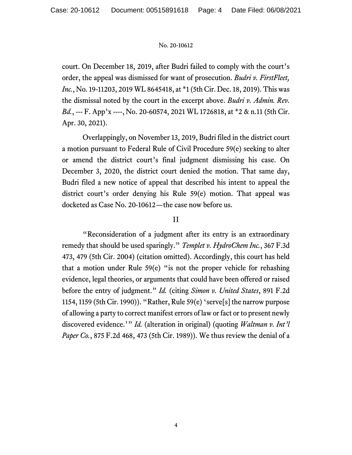court. On December 18, 2019, after Budri failed to comply with the court's order, the appeal was dismissed for want of prosecution. *Budri v. FirstFleet, Inc.*, No. 19-11203, 2019 WL 8645418, at \*1 (5th Cir. Dec. 18, 2019). This was the dismissal noted by the court in the excerpt above. *Budri v. Admin. Rev. Bd.*, --- F. App'x ----, No. 20-60574, 2021 WL 1726818, at \*2 & n.11 (5th Cir. Apr. 30, 2021).

 Overlappingly, on November 13, 2019, Budri filed in the district court a motion pursuant to Federal Rule of Civil Procedure 59(e) seeking to alter or amend the district court's final judgment dismissing his case. On December 3, 2020, the district court denied the motion. That same day, Budri filed a new notice of appeal that described his intent to appeal the district court's order denying his Rule 59(e) motion. That appeal was docketed as Case No. 20-10612—the case now before us.

## II

 "Reconsideration of a judgment after its entry is an extraordinary remedy that should be used sparingly." *Templet v. HydroChem Inc.*, 367 F.3d 473, 479 (5th Cir. 2004) (citation omitted). Accordingly, this court has held that a motion under Rule 59(e) "is not the proper vehicle for rehashing evidence, legal theories, or arguments that could have been offered or raised before the entry of judgment." *Id.* (citing *Simon v. United States*, 891 F.2d 1154, 1159 (5th Cir. 1990)). "Rather, Rule 59(e) 'serve[s] the narrow purpose of allowing a party to correct manifest errors of law or fact or to present newly discovered evidence.'" *Id.* (alteration in original) (quoting *Waltman v. Int'l Paper Co.*, 875 F.2d 468, 473 (5th Cir. 1989)). We thus review the denial of a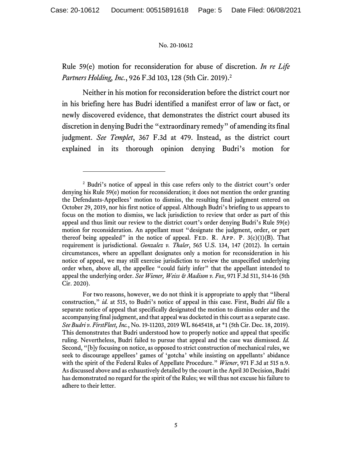Rule 59(e) motion for reconsideration for abuse of discretion. *In re Life Partners Holding, Inc.*, 926 F.3d 103, 128 (5th Cir. 2019).2

 Neither in his motion for reconsideration before the district court nor in his briefing here has Budri identified a manifest error of law or fact, or newly discovered evidence, that demonstrates the district court abused its discretion in denying Budri the "extraordinary remedy" of amending its final judgment. *See Templet*, 367 F.3d at 479. Instead, as the district court explained in its thorough opinion denying Budri's motion for

<sup>&</sup>lt;sup>2</sup> Budri's notice of appeal in this case refers only to the district court's order denying his Rule 59(e) motion for reconsideration; it does not mention the order granting the Defendants-Appellees' motion to dismiss, the resulting final judgment entered on October 29, 2019, nor his first notice of appeal. Although Budri's briefing to us appears to focus on the motion to dismiss, we lack jurisdiction to review that order as part of this appeal and thus limit our review to the district court's order denying Budri's Rule 59(e) motion for reconsideration. An appellant must "designate the judgment, order, or part thereof being appealed" in the notice of appeal. FED. R. APP. P.  $3(c)(1)(B)$ . That requirement is jurisdictional. *Gonzalez v. Thaler*, 565 U.S. 134, 147 (2012). In certain circumstances, where an appellant designates only a motion for reconsideration in his notice of appeal, we may still exercise jurisdiction to review the unspecified underlying order when, above all, the appellee "could fairly infer" that the appellant intended to appeal the underlying order. *See Wiener, Weiss & Madison v. Fox*, 971 F.3d 511, 514-16 (5th Cir. 2020).

For two reasons, however, we do not think it is appropriate to apply that "liberal construction," *id.* at 515, to Budri's notice of appeal in this case. First, Budri *did* file a separate notice of appeal that specifically designated the motion to dismiss order and the accompanying final judgment, and that appeal was docketed in this court as a separate case. *See Budri v. FirstFleet, Inc.*, No. 19-11203, 2019 WL 8645418, at \*1 (5th Cir. Dec. 18, 2019). This demonstrates that Budri understood how to properly notice and appeal that specific ruling. Nevertheless, Budri failed to pursue that appeal and the case was dismissed. *Id.* Second, "[b]y focusing on notice, as opposed to strict construction of mechanical rules, we seek to discourage appellees' games of 'gotcha' while insisting on appellants' abidance with the spirit of the Federal Rules of Appellate Procedure." *Wiener*, 971 F.3d at 515 n.9. As discussed above and as exhaustively detailed by the court in the April 30 Decision, Budri has demonstrated no regard for the spirit of the Rules; we will thus not excuse his failure to adhere to their letter.